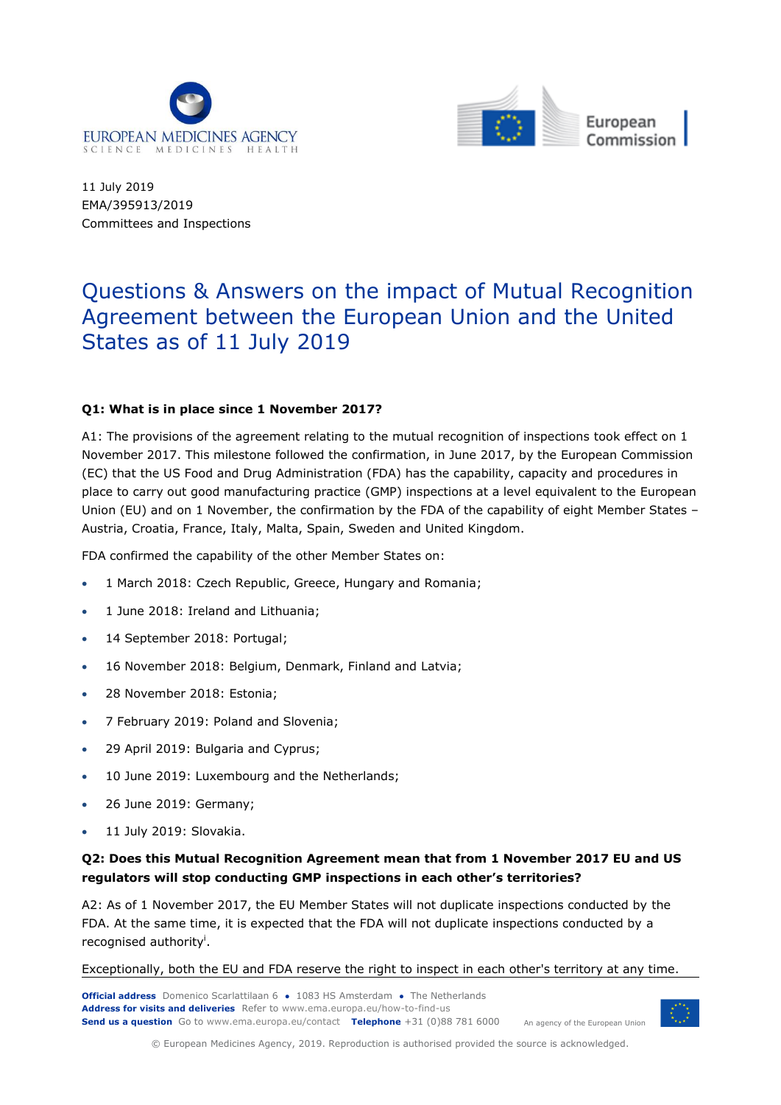



11 July 2019 EMA/395913/2019 Committees and Inspections

# Questions & Answers on the impact of Mutual Recognition Agreement between the European Union and the United States as of 11 July 2019

#### **Q1: What is in place since 1 November 2017?**

A1: The provisions of the agreement relating to the mutual recognition of inspections took effect on 1 November 2017. This milestone followed the confirmation, in June 2017, by the European Commission (EC) that the US Food and Drug Administration (FDA) has the capability, capacity and procedures in place to carry out good manufacturing practice (GMP) inspections at a level equivalent to the European Union (EU) and on 1 November, the confirmation by the FDA of the capability of eight Member States – Austria, Croatia, France, Italy, Malta, Spain, Sweden and United Kingdom.

FDA confirmed the capability of the other Member States on:

- 1 March 2018: Czech Republic, Greece, Hungary and Romania;
- 1 June 2018: Ireland and Lithuania;
- 14 September 2018: Portugal;
- 16 November 2018: Belgium, Denmark, Finland and Latvia;
- 28 November 2018: Estonia;
- 7 February 2019: Poland and Slovenia;
- 29 April 2019: Bulgaria and Cyprus;
- 10 June 2019: Luxembourg and the Netherlands;
- 26 June 2019: Germany;
- 11 July 2019: Slovakia.

# **Q2: Does this Mutual Recognition Agreement mean that from 1 November 2017 EU and US regulators will stop conducting GMP inspections in each other's territories?**

A2: As of 1 November 2017, the EU Member States will not duplicate inspections conducted by the FDA. At the same time, it is expected that the FDA will not duplicate inspections conducted by a recognised authority<sup>i</sup>.

Exceptionally, both the EU and FDA reserve the right to inspect in each other's territory at any time.

**Official address** Domenico Scarlattilaan 6 **●** 1083 HS Amsterdam **●** The Netherlands An agency of the European Union **Address for visits and deliveries** Refer to www.ema.europa.eu/how-to-find-us **Send us a question** Go to www.ema.europa.eu/contact **Telephone** +31 (0)88 781 6000



© European Medicines Agency, 2019. Reproduction is authorised provided the source is acknowledged.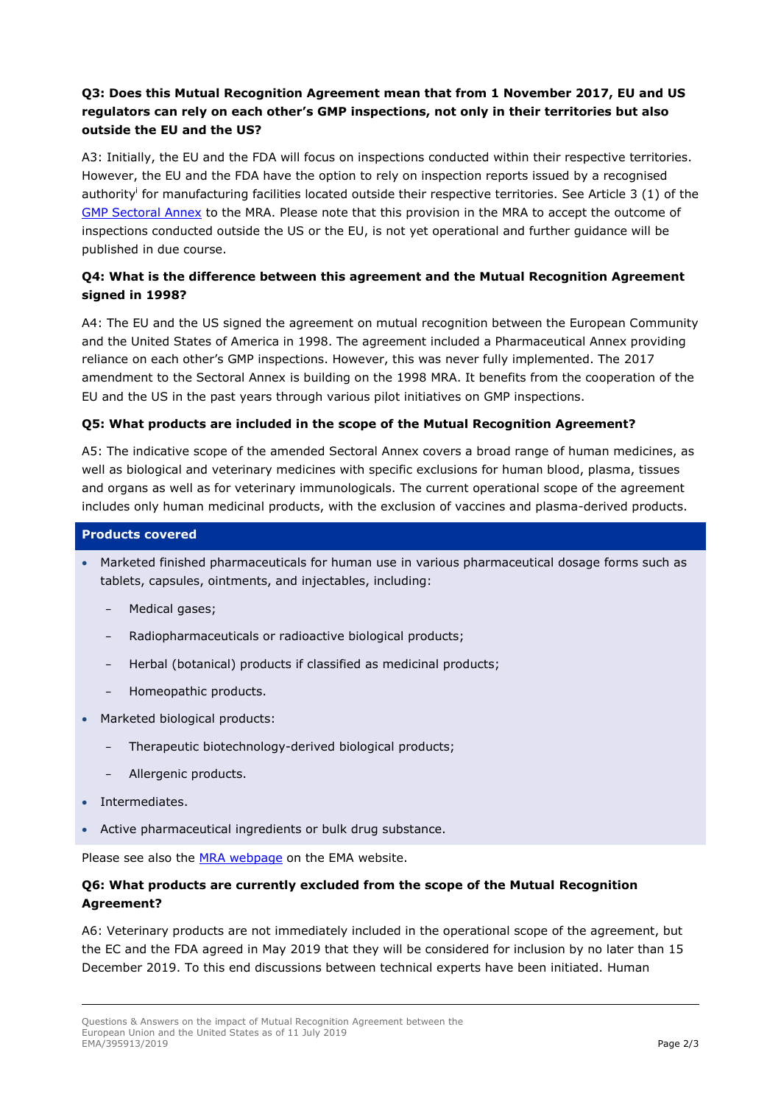# **Q3: Does this Mutual Recognition Agreement mean that from 1 November 2017, EU and US regulators can rely on each other's GMP inspections, not only in their territories but also outside the EU and the US?**

A3: Initially, the EU and the FDA will focus on inspections conducted within their respective territories. However, the EU and the FDA have the option to rely on inspection reports issued by a recognised authority<sup>i</sup> for manufacturing facilities located outside their respective territories. See Article 3 (1) of the [GMP Sectoral Annex](http://trade.ec.europa.eu/doclib/docs/2017/february/tradoc_155398.pdf) to the MRA. Please note that this provision in the MRA to accept the outcome of inspections conducted outside the US or the EU, is not yet operational and further guidance will be published in due course.

# **Q4: What is the difference between this agreement and the Mutual Recognition Agreement signed in 1998?**

A4: The EU and the US signed the agreement on mutual recognition between the European Community and the United States of America in 1998. The agreement included a Pharmaceutical Annex providing reliance on each other's GMP inspections. However, this was never fully implemented. The [2017](http://trade.ec.europa.eu/doclib/docs/2017/february/tradoc_155398.pdf)  [amendment to the Sectoral Annex](http://trade.ec.europa.eu/doclib/docs/2017/february/tradoc_155398.pdf) is building on the 1998 MRA. It benefits from the cooperation of the EU and the US in the past years through various pilot initiatives on GMP inspections.

# **Q5: What products are included in the scope of the Mutual Recognition Agreement?**

A5: The indicative scope of the amended Sectoral Annex covers a broad range of human medicines, as well as biological and veterinary medicines with specific exclusions for human blood, plasma, tissues and organs as well as for veterinary immunologicals. The current operational scope of the agreement includes only human medicinal products, with the exclusion of vaccines and plasma-derived products.

#### **Products covered**

- Marketed finished pharmaceuticals for human use in various pharmaceutical dosage forms such as tablets, capsules, ointments, and injectables, including:
	- − Medical gases;
	- Radiopharmaceuticals or radioactive biological products;
	- − Herbal (botanical) products if classified as medicinal products;
	- − Homeopathic products.
- Marketed biological products:
	- Therapeutic biotechnology-derived biological products;
	- − Allergenic products.
- Intermediates.
- Active pharmaceutical ingredients or bulk drug substance.

Please see also the [MRA webpage](https://www.ema.europa.eu/en/human-regulatory/research-development/compliance/good-manufacturing-practice/mutual-recognition-agreements-mra) on the EMA website.

# **Q6: What products are currently excluded from the scope of the Mutual Recognition Agreement?**

A6: Veterinary products are not immediately included in the operational scope of the agreement, but the EC and the FDA agreed in May 2019 that they will be considered for inclusion by no later than 15 December 2019. To this end discussions between technical experts have been initiated. Human